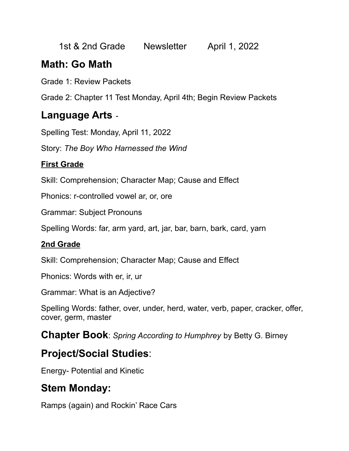1st & 2nd Grade Newsletter April 1, 2022

# **Math: Go Math**

Grade 1: Review Packets

Grade 2: Chapter 11 Test Monday, April 4th; Begin Review Packets

## **Language Arts** -

Spelling Test: Monday, April 11, 2022

Story: *The Boy Who Harnessed the Wind*

#### **First Grade**

Skill: Comprehension; Character Map; Cause and Effect

Phonics: r-controlled vowel ar, or, ore

Grammar: Subject Pronouns

Spelling Words: far, arm yard, art, jar, bar, barn, bark, card, yarn

#### **2nd Grade**

Skill: Comprehension; Character Map; Cause and Effect

Phonics: Words with er, ir, ur

Grammar: What is an Adjective?

Spelling Words: father, over, under, herd, water, verb, paper, cracker, offer, cover, germ, master

**Chapter Book**: *Spring According to Humphrey* by Betty G. Birney

# **Project/Social Studies**:

Energy- Potential and Kinetic

# **Stem Monday:**

Ramps (again) and Rockin' Race Cars